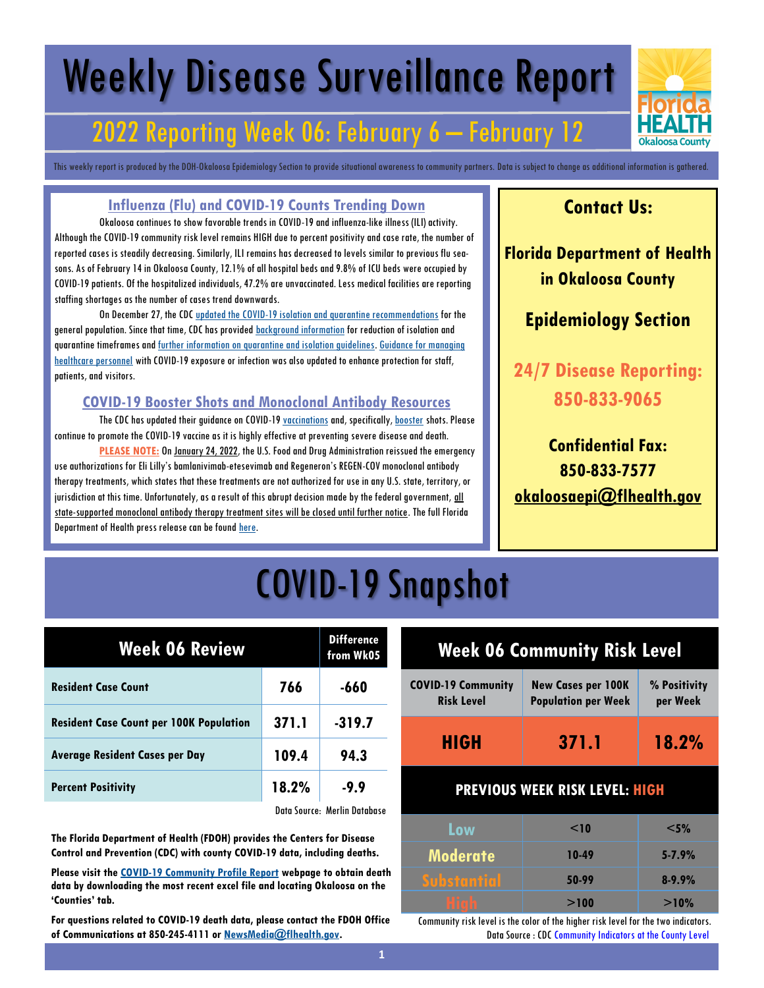# Weekly Disease Surveillance Report

## 2022 Reporting Week 06: February 6 – February 12

This weekly report is produced by the DOH-Okaloosa Epidemiology Section to provide situational awareness to community partners. Data is subject to change as additional information is gathered.

#### **Influenza (Flu) and COVID-19 Counts Trending Down**

Okaloosa continues to show favorable trends in COVID-19 and influenza-like illness (ILI) activity. Although the COVID-19 community risk level remains HIGH due to percent positivity and case rate, the number of reported cases is steadily decreasing. Similarly, ILI remains has decreased to levels similar to previous flu seasons. As of February 14 in Okaloosa County, 12.1% of all hospital beds and 9.8% of ICU beds were occupied by COVID-19 patients. Of the hospitalized individuals, 47.2% are unvaccinated. Less medical facilities are reporting staffing shortages as the number of cases trend downwards.

On December 27, the CDC [updated the COVID-19 isolation and quarantine recommendations](https://www.cdc.gov/media/releases/2021/s1227-isolation-quarantine-guidance.html) for the general population. Since that time, CDC has provided **[background information](https://www.cdc.gov/coronavirus/2019-ncov/if-you-are-sick/quarantine-isolation-background.html)** for reduction of isolation and quarantine timeframes and [further information on quarantine and isolation guidelines.](https://www.cdc.gov/coronavirus/2019-ncov/your-health/quarantine-isolation.html) [Guidance for managing](https://www.cdc.gov/coronavirus/2019-ncov/hcp/guidance-risk-assesment-hcp.html)  [healthcare personnel](https://www.cdc.gov/coronavirus/2019-ncov/hcp/guidance-risk-assesment-hcp.html) with COVID-19 exposure or infection was also updated to enhance protection for staff, patients, and visitors.

#### **COVID-19 Booster Shots and Monoclonal Antibody Resources**

The CDC has updated their guidance on COVID-19 [vaccinations](https://www.cdc.gov/coronavirus/2019-ncov/vaccines/expect.html) and, specifically, [booster](https://www.cdc.gov/coronavirus/2019-ncov/vaccines/booster-shot.html) shots. Please continue to promote the COVID-19 vaccine as it is highly effective at preventing severe disease and death.

PLEASE NOTE: On [January 24, 2022,](https://www.fda.gov/news-events/press-announcements/coronavirus-covid-19-update-fda-limits-use-certain-monoclonal-antibodies-treat-covid-19-due-omicron) the U.S. Food and Drug Administration reissued the emergency use authorizations for Eli Lilly's bamlanivimab-etesevimab and Regeneron's REGEN-COV monoclonal antibody therapy treatments, which states that these treatments are not authorized for use in any U.S. state, territory, or jurisdiction at this time. Unfortunately, as a result of this abrupt decision made by the federal government, all state-supported monoclonal antibody therapy treatment sites will be closed until further notice. The full Florida Department of Health press release can be found [here.](https://www.floridahealth.gov/newsroom/2022/01/20220124-fda-removes-treatment-authorization.pr.html)

### **Contact Us:**

**Florida Department of Health in Okaloosa County**

### **Epidemiology Section**

**24/7 Disease Reporting: 850-833-9065**

### **Confidential Fax: 850-833-7577 [okaloosaepi@flhealth.gov](mailto:okaloosaepi@flhealth.gov)**

## COVID-19 Snapshot

| <b>Week 06 Review</b>                          |       | <b>Difference</b><br>from Wk05 |
|------------------------------------------------|-------|--------------------------------|
| <b>Resident Case Count</b>                     | 766   | $-660$                         |
| <b>Resident Case Count per 100K Population</b> | 371.1 | $-319.7$                       |
| <b>Average Resident Cases per Day</b>          | 109.4 | 94.3                           |
| <b>Percent Positivity</b>                      | 18.2% | $-9.9$                         |
|                                                |       | Data Source: Merlin Database   |

**The Florida Department of Health (FDOH) provides the Centers for Disease Control and Prevention (CDC) with county COVID-19 data, including deaths.** 

**Please visit the [COVID-19 Community Profile Report](https://healthdata.gov/Health/COVID-19-Community-Profile-Report/gqxm-d9w9) webpage to obtain death data by downloading the most recent excel file and locating Okaloosa on the 'Counties' tab.** 

**For questions related to COVID-19 death data, please contact the FDOH Office of Communications at 850-245-4111 or [NewsMedia@flhealth.gov.](mailto:NewsMedia@flhealth.gov)**

#### **Week 06 Community Risk Level COVID-19 Community Risk Level New Cases per 100K Population per Week % Positivity per Week**

## **HIGH 371.1 18.2%**

#### **PREVIOUS WEEK RISK LEVEL: HIGH**

| Low                    | $\leq$ 10 | $<$ 5%     |
|------------------------|-----------|------------|
| <b>Moderate</b>        | 10-49     | $5 - 7.9%$ |
| <b>Substantial</b>     | 50-99     | $8 - 9.9%$ |
| i<br>I<br>ı<br>ij<br>ï | >100      | >10%       |

Community risk level is the color of the higher risk level for the two indicators. Data Source : CDC Community Indicators at the County Level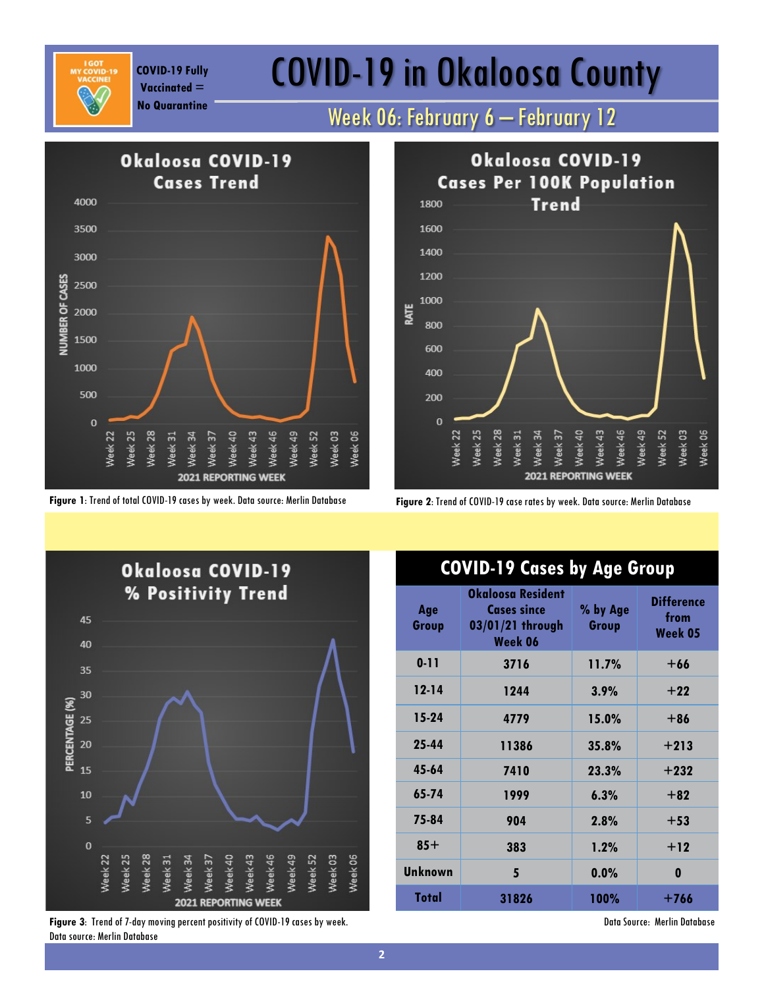**Vaccinated =** 

# COVID-19 Fully **COVID-19 in Okaloosa County**

**No Quarantine** Week 06: February 6 – February 12



**Figure 1**: Trend of total COVID-19 cases by week. Data source: Merlin Database **Figure 2**: Trend of COVID-19 case rates by week. Data source: Merlin Database





**Figure 3**: Trend of 7-day moving percent positivity of COVID-19 cases by week. Data source: Merlin Database

### **COVID-19 Cases by Age Group**

| Age<br>Group   | Okaloosa Resident<br><b>Cases since</b><br>03/01/21 through<br>Week 06 | % by Age<br>Group | <b>Difference</b><br>from<br>Week 05 |
|----------------|------------------------------------------------------------------------|-------------------|--------------------------------------|
| $0 - 11$       | 3716                                                                   | 11.7%             | $+66$                                |
| $12 - 14$      | 1244                                                                   | 3.9%              | $+22$                                |
| $15-24$        | 4779                                                                   | 15.0%             | $+86$                                |
| 25-44          | 11386                                                                  | 35.8%             | $+213$                               |
| 45-64          | 7410                                                                   | 23.3%             | $+232$                               |
| 65-74          | 1999                                                                   | 6.3%              | $+82$                                |
| 75-84          | 904                                                                    | 2.8%              | $+53$                                |
| $85+$          | 383                                                                    | 1.2%              | $+12$                                |
| <b>Unknown</b> | 5                                                                      | 0.0%              | 0                                    |
| Total          | 31826                                                                  | 100%              | +766                                 |

Data Source: Merlin Database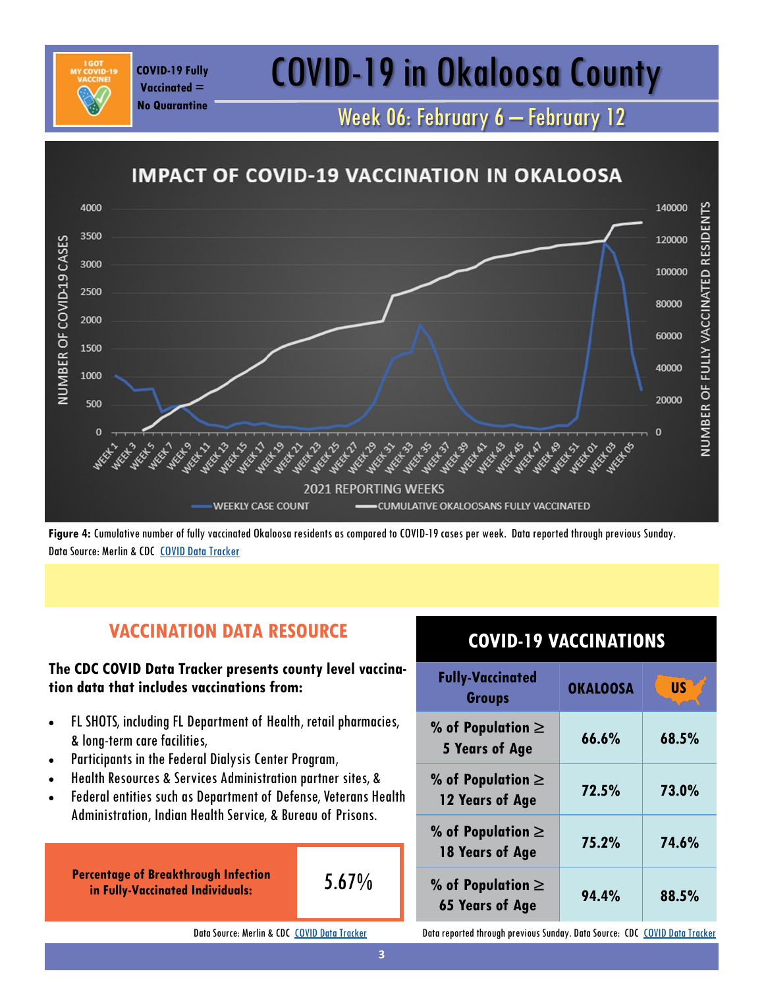# COVID-19 Fully **COVID-19 in Okaloosa County**

Week 06: February 6 – February 12



**Figure 4:** Cumulative number of fully vaccinated Okaloosa residents as compared to COVID-19 cases per week. Data reported through previous Sunday. Data Source: Merlin & CDC [COVID Data Tracker](https://covid.cdc.gov/covid-data-tracker/#vaccinations)

### **VACCINATION DATA RESOURCE**

#### **The CDC COVID Data Tracker presents county level vaccination data that includes vaccinations from:**

- FL SHOTS, including FL Department of Health, retail pharmacies, & long-term care facilities,
- Participants in the Federal Dialysis Center Program,

**Vaccinated = No Quarantine**

- Health Resources & Services Administration partner sites, &
- Federal entities such as Department of Defense, Veterans Health Administration, Indian Health Service, & Bureau of Prisons.

**Percentage of Breakthrough Infection in Fully-Vaccinated Individuals:** 

$$
5.67\%
$$

Data Source: Merlin & CDC [COVID Data Tracker](https://covid.cdc.gov/covid-data-tracker/#vaccinations)

### **COVID-19 VACCINATIONS**

| <b>Fully-Vaccinated</b><br><b>Groups</b>        | <b>OKALOOSA</b> | <b>US</b> |
|-------------------------------------------------|-----------------|-----------|
| % of Population $\ge$<br>5 Years of Age         | 66.6%           | 68.5%     |
| % of Population $\ge$<br>12 Years of Age        | 72.5%           | 73.0%     |
| % of Population $\ge$<br>18 Years of Age        | 75.2%           | 74.6%     |
| % of Population $\ge$<br><b>65 Years of Age</b> | 94.4%           | 88.5%     |

Data reported through previous Sunday. Data Source: CDC [COVID Data Tracker](https://covid.cdc.gov/covid-data-tracker/#vaccinations)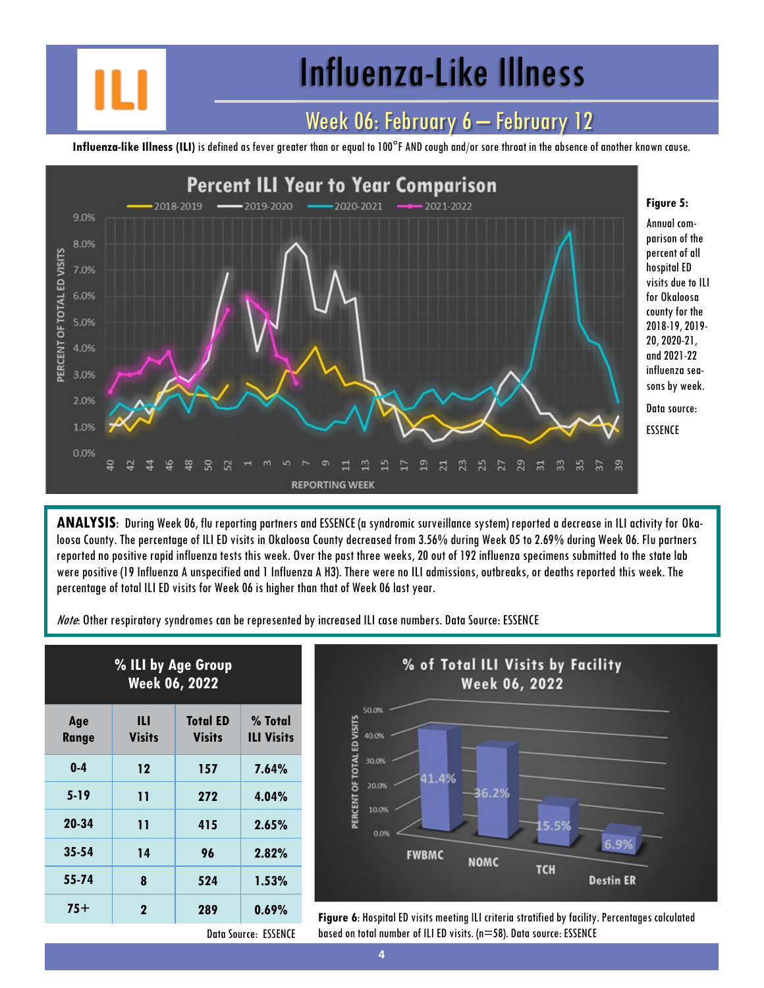# Influenza-Like Illness

### Week 06: February 6 – February 12

**Influenza-like Illness (ILI)** is defined as fever greater than or equal to 100°F AND cough and/or sore throat in the absence of another known cause.



**ANALYSIS**: During Week 06, flu reporting partners and ESSENCE (a syndromic surveillance system) reported a decrease in ILI activity for Okaloosa County. The percentage of ILI ED visits in Okaloosa County decreased from 3.56% during Week 05 to 2.69% during Week 06. Flu partners reported no positive rapid influenza tests this week. Over the past three weeks, 20 out of 192 influenza specimens submitted to the state lab were positive (19 Influenza A unspecified and 1 Influenza A H3). There were no ILI admissions, outbreaks, or deaths reported this week. The percentage of total ILI ED visits for Week 06 is higher than that of Week 06 last year.

Note: Other respiratory syndromes can be represented by increased ILI case numbers. Data Source: ESSENCE

| % ILI by Age Group<br><b>Week 06, 2022</b> |                    |                                  |                              |
|--------------------------------------------|--------------------|----------------------------------|------------------------------|
| Age<br><b>Range</b>                        | Ш<br><b>Visits</b> | <b>Total ED</b><br><b>Visits</b> | % Total<br><b>ILI Visits</b> |
| $0-4$                                      | 12                 | 157                              | 7.64%                        |
| $5 - 19$                                   | 11                 | 272                              | 4.04%                        |
| 20-34                                      | 11                 | 415                              | 2.65%                        |
| $35 - 54$                                  | 14                 | 96                               | $2.82\%$                     |
| 55-74                                      | 8                  | 524                              | 1.53%                        |
| $75+$                                      | $\mathbf 2$        | 289                              | 0.69%                        |



**75+ <sup>2</sup> <sup>289</sup> 0.69% Figure 6**: Hospital ED visits meeting ILI criteria stratified by facility. Percentages calculated based on total number of ILI ED visits. (n=58). Data source: ESSENCE

Data Source: ESSENCE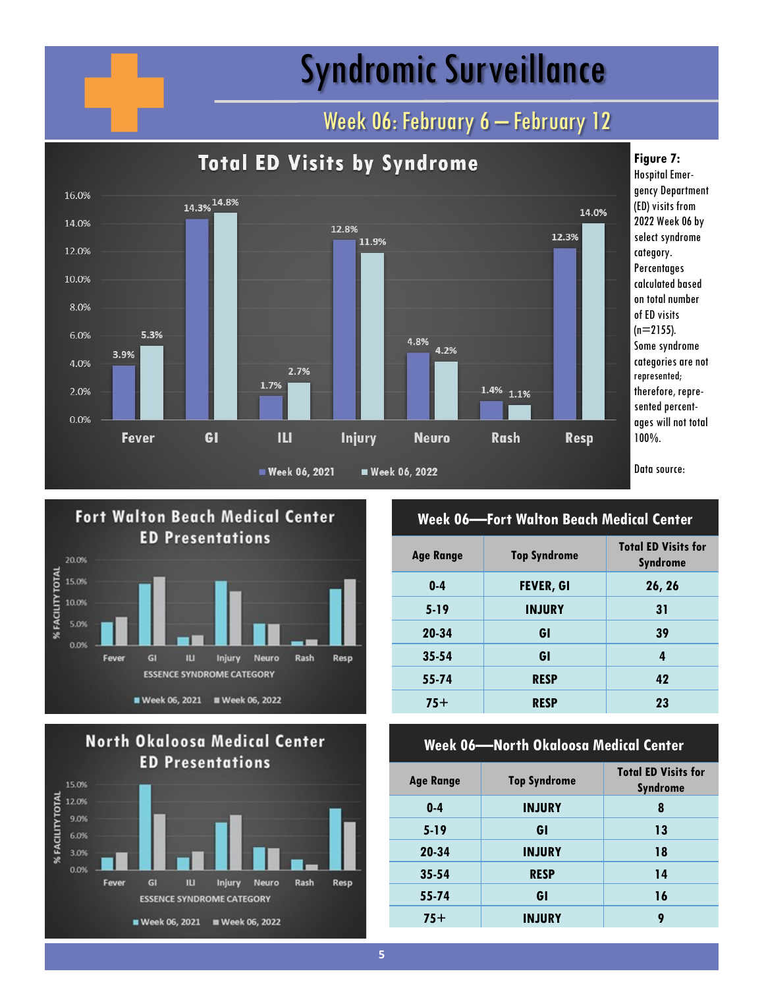# Syndromic Surveillance

## Week 06: February 6 - February 12







#### **Week 06—Fort Walton Beach Medical Center**

| <b>Age Range</b> | <b>Top Syndrome</b> | <b>Total ED Visits for</b><br><b>Syndrome</b> |
|------------------|---------------------|-----------------------------------------------|
| $0-4$            | <b>FEVER, GI</b>    | 26, 26                                        |
| $5-19$           | <b>INJURY</b>       | 31                                            |
| 20-34            | GI                  | 39                                            |
| $35 - 54$        | GI                  | 4                                             |
| 55-74            | <b>RESP</b>         | 42                                            |
| $75+$            | <b>RESP</b>         | 23                                            |
|                  |                     |                                               |

#### **Week 06—North Okaloosa Medical Center**

| <b>Age Range</b> | <b>Top Syndrome</b> | <b>Total ED Visits for</b><br><b>Syndrome</b> |
|------------------|---------------------|-----------------------------------------------|
| $0 - 4$          | <b>INJURY</b>       | 8                                             |
| $5-19$           | GI                  | 13                                            |
| 20-34            | <b>INJURY</b>       | 18                                            |
| $35 - 54$        | <b>RESP</b>         | 14                                            |
| 55-74            | GI                  | 16                                            |
| $75+$            | <b>INJURY</b>       | 9                                             |